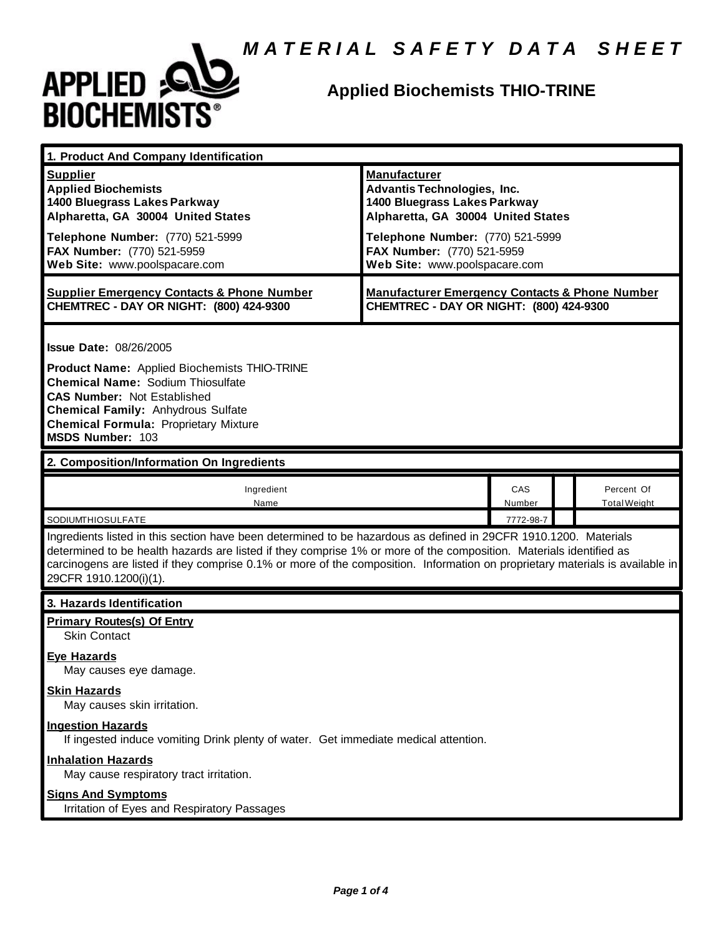

| 1. Product And Company Identification                                                                                                                                                                                                                                                                                                                                                             |                                                                                                                                                                     |               |                                   |  |
|---------------------------------------------------------------------------------------------------------------------------------------------------------------------------------------------------------------------------------------------------------------------------------------------------------------------------------------------------------------------------------------------------|---------------------------------------------------------------------------------------------------------------------------------------------------------------------|---------------|-----------------------------------|--|
| <b>Supplier</b><br><b>Applied Biochemists</b><br>1400 Bluegrass Lakes Parkway<br>Alpharetta, GA 30004 United States<br>Telephone Number: (770) 521-5999                                                                                                                                                                                                                                           | <b>Manufacturer</b><br><b>Advantis Technologies, Inc.</b><br>1400 Bluegrass Lakes Parkway<br>Alpharetta, GA 30004 United States<br>Telephone Number: (770) 521-5999 |               |                                   |  |
| FAX Number: (770) 521-5959<br>Web Site: www.poolspacare.com                                                                                                                                                                                                                                                                                                                                       | FAX Number: (770) 521-5959<br>Web Site: www.poolspacare.com                                                                                                         |               |                                   |  |
| <b>Supplier Emergency Contacts &amp; Phone Number</b><br>CHEMTREC - DAY OR NIGHT: (800) 424-9300                                                                                                                                                                                                                                                                                                  | <b>Manufacturer Emergency Contacts &amp; Phone Number</b><br>CHEMTREC - DAY OR NIGHT: (800) 424-9300                                                                |               |                                   |  |
| <b>Issue Date: 08/26/2005</b><br><b>Product Name:</b> Applied Biochemists THIO-TRINE<br><b>Chemical Name: Sodium Thiosulfate</b><br><b>CAS Number: Not Established</b><br><b>Chemical Family: Anhydrous Sulfate</b><br><b>Chemical Formula: Proprietary Mixture</b><br>MSDS Number: 103                                                                                                           |                                                                                                                                                                     |               |                                   |  |
| 2. Composition/Information On Ingredients                                                                                                                                                                                                                                                                                                                                                         |                                                                                                                                                                     |               |                                   |  |
| Ingredient<br>Name                                                                                                                                                                                                                                                                                                                                                                                |                                                                                                                                                                     | CAS<br>Number | Percent Of<br><b>Total Weight</b> |  |
| SODIUMTHIOSULFATE                                                                                                                                                                                                                                                                                                                                                                                 |                                                                                                                                                                     | 7772-98-7     |                                   |  |
| Ingredients listed in this section have been determined to be hazardous as defined in 29CFR 1910.1200. Materials<br>determined to be health hazards are listed if they comprise 1% or more of the composition. Materials identified as<br>carcinogens are listed if they comprise 0.1% or more of the composition. Information on proprietary materials is available in<br>29CFR 1910.1200(i)(1). |                                                                                                                                                                     |               |                                   |  |
| 3. Hazards Identification                                                                                                                                                                                                                                                                                                                                                                         |                                                                                                                                                                     |               |                                   |  |
| <b>Primary Routes(s) Of Entry</b><br><b>Skin Contact</b>                                                                                                                                                                                                                                                                                                                                          |                                                                                                                                                                     |               |                                   |  |
| <b>Eye Hazards</b><br>May causes eye damage.                                                                                                                                                                                                                                                                                                                                                      |                                                                                                                                                                     |               |                                   |  |
| <b>Skin Hazards</b><br>May causes skin irritation.                                                                                                                                                                                                                                                                                                                                                |                                                                                                                                                                     |               |                                   |  |
| <b>Ingestion Hazards</b><br>If ingested induce vomiting Drink plenty of water. Get immediate medical attention.                                                                                                                                                                                                                                                                                   |                                                                                                                                                                     |               |                                   |  |
| <b>Inhalation Hazards</b><br>May cause respiratory tract irritation.                                                                                                                                                                                                                                                                                                                              |                                                                                                                                                                     |               |                                   |  |
| <b>Signs And Symptoms</b><br>Irritation of Eyes and Respiratory Passages                                                                                                                                                                                                                                                                                                                          |                                                                                                                                                                     |               |                                   |  |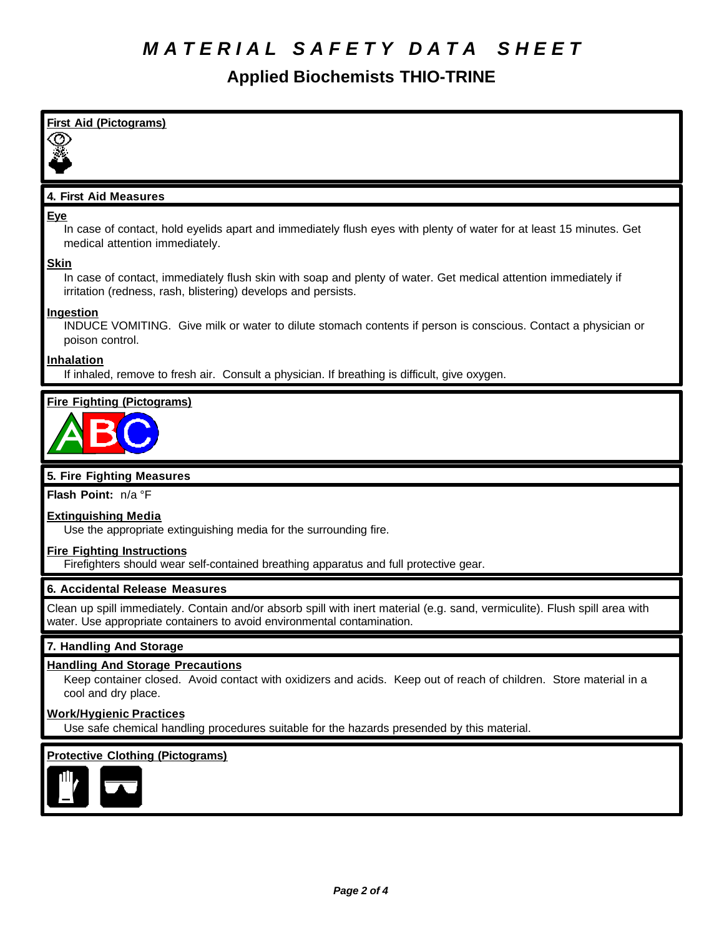# *M A T E R I A L S A F E T Y D A T A S H E E T*

| <b>First Aid (Pictograms)</b>                                                                                                                                                                          |  |  |
|--------------------------------------------------------------------------------------------------------------------------------------------------------------------------------------------------------|--|--|
|                                                                                                                                                                                                        |  |  |
|                                                                                                                                                                                                        |  |  |
| 4. First Aid Measures                                                                                                                                                                                  |  |  |
| <b>Eye</b><br>In case of contact, hold eyelids apart and immediately flush eyes with plenty of water for at least 15 minutes. Get<br>medical attention immediately.                                    |  |  |
| <b>Skin</b><br>In case of contact, immediately flush skin with soap and plenty of water. Get medical attention immediately if<br>irritation (redness, rash, blistering) develops and persists.         |  |  |
| Ingestion<br>INDUCE VOMITING. Give milk or water to dilute stomach contents if person is conscious. Contact a physician or<br>poison control.                                                          |  |  |
| Inhalation<br>If inhaled, remove to fresh air. Consult a physician. If breathing is difficult, give oxygen.                                                                                            |  |  |
| <b>Fire Fighting (Pictograms)</b>                                                                                                                                                                      |  |  |
|                                                                                                                                                                                                        |  |  |
| 5. Fire Fighting Measures                                                                                                                                                                              |  |  |
| Flash Point: n/a °F                                                                                                                                                                                    |  |  |
| <b>Extinguishing Media</b><br>Use the appropriate extinguishing media for the surrounding fire.                                                                                                        |  |  |
| <b>Fire Fighting Instructions</b><br>Firefighters should wear self-contained breathing apparatus and full protective gear.                                                                             |  |  |
| 6. Accidental Release Measures                                                                                                                                                                         |  |  |
| Clean up spill immediately. Contain and/or absorb spill with inert material (e.g. sand, vermiculite). Flush spill area with<br>water. Use appropriate containers to avoid environmental contamination. |  |  |
| 7. Handling And Storage                                                                                                                                                                                |  |  |
| <b>Handling And Storage Precautions</b><br>Keep container closed. Avoid contact with oxidizers and acids. Keep out of reach of children. Store material in a<br>cool and dry place.                    |  |  |
| <b>Work/Hygienic Practices</b><br>Use safe chemical handling procedures suitable for the hazards presended by this material.                                                                           |  |  |
| <b>Protective Clothing (Pictograms)</b>                                                                                                                                                                |  |  |

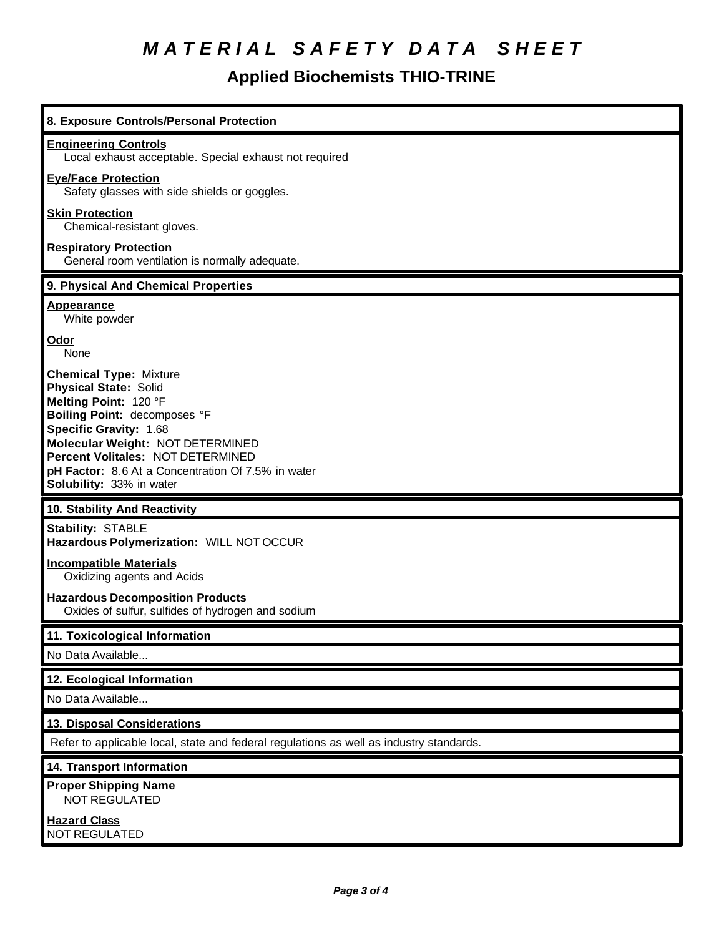## *M A T E R I A L S A F E T Y D A T A S H E E T*

| 8. Exposure Controls/Personal Protection                                                                                                                                                                                                                                                                           |
|--------------------------------------------------------------------------------------------------------------------------------------------------------------------------------------------------------------------------------------------------------------------------------------------------------------------|
| <b>Engineering Controls</b><br>Local exhaust acceptable. Special exhaust not required                                                                                                                                                                                                                              |
| <b>Eye/Face Protection</b><br>Safety glasses with side shields or goggles.                                                                                                                                                                                                                                         |
| <b>Skin Protection</b><br>Chemical-resistant gloves.                                                                                                                                                                                                                                                               |
| <b>Respiratory Protection</b><br>General room ventilation is normally adequate.                                                                                                                                                                                                                                    |
| 9. Physical And Chemical Properties                                                                                                                                                                                                                                                                                |
| <b>Appearance</b><br>White powder                                                                                                                                                                                                                                                                                  |
| Odor<br>None                                                                                                                                                                                                                                                                                                       |
| <b>Chemical Type: Mixture</b><br><b>Physical State: Solid</b><br>Melting Point: 120 °F<br>Boiling Point: decomposes °F<br><b>Specific Gravity: 1.68</b><br>Molecular Weight: NOT DETERMINED<br>Percent Volitales: NOT DETERMINED<br>pH Factor: 8.6 At a Concentration Of 7.5% in water<br>Solubility: 33% in water |
| 10. Stability And Reactivity                                                                                                                                                                                                                                                                                       |
| <b>Stability: STABLE</b><br>Hazardous Polymerization: WILL NOT OCCUR                                                                                                                                                                                                                                               |
| <b>Incompatible Materials</b><br>Oxidizing agents and Acids                                                                                                                                                                                                                                                        |
| <b>Hazardous Decomposition Products</b><br>Oxides of sulfur, sulfides of hydrogen and sodium                                                                                                                                                                                                                       |
| 11. Toxicological Information                                                                                                                                                                                                                                                                                      |
| No Data Available                                                                                                                                                                                                                                                                                                  |
| 12. Ecological Information                                                                                                                                                                                                                                                                                         |
| No Data Available                                                                                                                                                                                                                                                                                                  |
| 13. Disposal Considerations                                                                                                                                                                                                                                                                                        |
| Refer to applicable local, state and federal regulations as well as industry standards.                                                                                                                                                                                                                            |
| 14. Transport Information                                                                                                                                                                                                                                                                                          |
| <b>Proper Shipping Name</b><br><b>NOT REGULATED</b>                                                                                                                                                                                                                                                                |
| <b>Hazard Class</b><br>NOT REGULATED                                                                                                                                                                                                                                                                               |